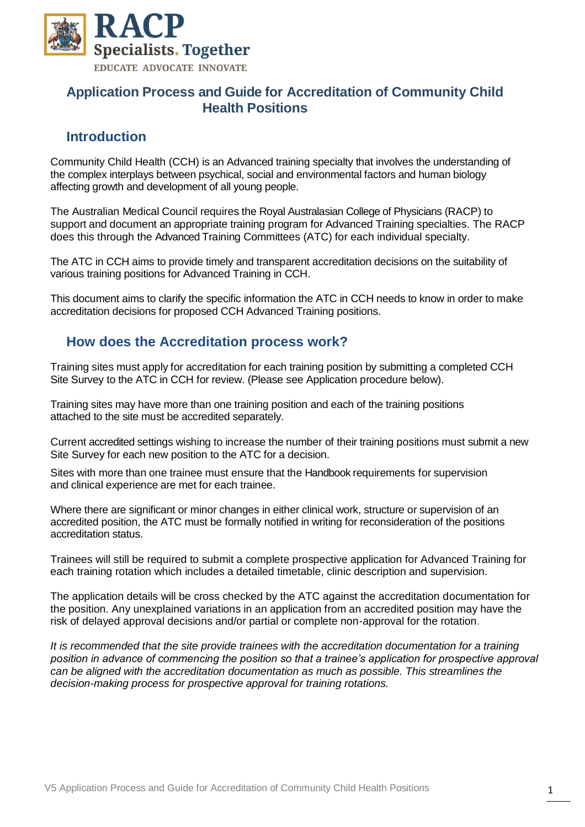

## **Application Process and Guide for Accreditation of Community Child Health Positions**

## **Introduction**

Community Child Health (CCH) is an Advanced training specialty that involves the understanding of the complex interplays between psychical, social and environmental factors and human biology affecting growth and development of all young people.

The Australian Medical Council requires the Royal Australasian College of Physicians (RACP) to support and document an appropriate training program for Advanced Training specialties. The RACP does this through the Advanced Training Committees (ATC) for each individual specialty.

The ATC in CCH aims to provide timely and transparent accreditation decisions on the suitability of various training positions for Advanced Training in CCH.

This document aims to clarify the specific information the ATC in CCH needs to know in order to make accreditation decisions for proposed CCH Advanced Training positions.

## **How does the Accreditation process work?**

Training sites must apply for accreditation for each training position by submitting a completed CCH Site Survey to the ATC in CCH for review. (Please see Application procedure below).

Training sites may have more than one training position and each of the training positions attached to the site must be accredited separately.

Current accredited settings wishing to increase the number of their training positions must submit a new Site Survey for each new position to the ATC for a decision.

Sites with more than one trainee must ensure that the Handbook requirements for supervision and clinical experience are met for each trainee.

Where there are significant or minor changes in either clinical work, structure or supervision of an accredited position, the ATC must be formally notified in writing for reconsideration of the positions accreditation status.

Trainees will still be required to submit a complete prospective application for Advanced Training for each training rotation which includes a detailed timetable, clinic description and supervision.

The application details will be cross checked by the ATC against the accreditation documentation for the position. Any unexplained variations in an application from an accredited position may have the risk of delayed approval decisions and/or partial or complete non-approval for the rotation.

*It is recommended that the site provide trainees with the accreditation documentation for a training position in advance of commencing the position so that a trainee's application for prospective approval can be aligned with the accreditation documentation as much as possible. This streamlines the decision-making process for prospective approval for training rotations.*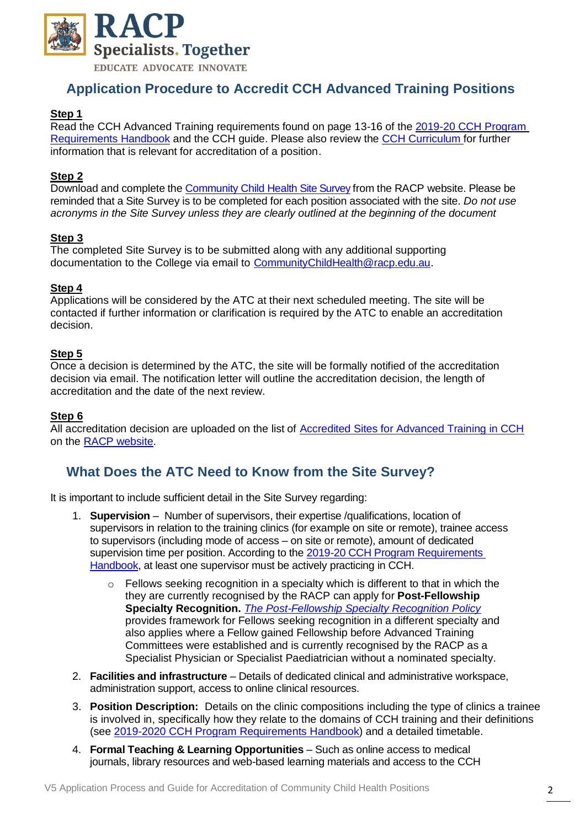

## **Application Procedure to Accredit CCH Advanced Training Positions**

### **Step 1**

Read the CCH Advanced Training requirements found on page 13-16 of the [2019-20 CCH](https://www.racp.edu.au/docs/default-source/default-document-library/at-community-child-health-handbook-2019-20.pdf?sfvrsn=6) Program [Requirements](https://www.racp.edu.au/docs/default-source/default-document-library/at-community-child-health-handbook-2019-20.pdf?sfvrsn=6) Handbook and the CCH guide. Please also review the [CCH Curriculum](https://www.racp.edu.au/docs/default-source/pdfs/professional-qualities-curriculum-(pdf-1-089kb).pdf?sfvrsn=0) for further information that is relevant for accreditation of a position.

#### **Step 2**

Download and complete the [Community Child Health](https://www.racp.edu.au/docs/default-source/default-document-library/ela-at-cch-site-survey-form.docx?sfvrsn=54430f1a_0) Site Survey from the RACP website. Please be reminded that a Site Survey is to be completed for each position associated with the site. *Do not use acronyms in the Site Survey unless they are clearly outlined at the beginning of the document*

#### **Step 3**

The completed Site Survey is to be submitted along with any additional supporting documentation to the College via email to [CommunityChildHealth@racp.edu.au.](mailto:CommunityChildHealth@racp.edu.au)

#### **Step 4**

Applications will be considered by the ATC at their next scheduled meeting. The site will be contacted if further information or clarification is required by the ATC to enable an accreditation decision.

### **Step 5**

Once a decision is determined by the ATC, the site will be formally notified of the accreditation decision via email. The notification letter will outline the accreditation decision, the length of accreditation and the date of the next review.

#### **Step 6**

All accreditation decision are uploaded on the list of [Accredited Sites for Advanced Training in CCH](https://www.racp.edu.au/docs/default-source/default-document-library/cch-site-accreditation-aus-nz.pdf?sfvrsn=12) on the [RACP website.](https://www.racp.edu.au/trainees/accredited-training-sites)

## **What Does the ATC Need to Know from the Site Survey?**

It is important to include sufficient detail in the Site Survey regarding:

- 1. **Supervision** Number of supervisors, their expertise /qualifications, location of supervisors in relation to the training clinics (for example on site or remote), trainee access to supervisors (including mode of access – on site or remote), amount of dedicated supervision time per position. According to the [2019-20 CCH Program Requirements](https://www.racp.edu.au/docs/default-source/default-document-library/at-community-child-health-handbook-2019-20.pdf?sfvrsn=38a4091a_6) [Handbook,](https://www.racp.edu.au/docs/default-source/default-document-library/at-community-child-health-handbook-2019-20.pdf?sfvrsn=38a4091a_6) at least one supervisor must be actively practicing in CCH.
	- $\circ$  Fellows seeking recognition in a specialty which is different to that in which the they are currently recognised by the RACP can apply for **Post-Fellowship Specialty Recognition.** *[The Post-Fellowship Specialty Recognition Policy](https://www.racp.edu.au/docs/default-source/default-document-library/epre-post-fellowship-specialty-recognition-policy-final-v2.pdf?sfvrsn=69ed021a_4)* provides framework for Fellows seeking recognition in a different specialty and also applies where a Fellow gained Fellowship before Advanced Training Committees were established and is currently recognised by the RACP as a Specialist Physician or Specialist Paediatrician without a nominated specialty.
- 2. **Facilities and infrastructure** Details of dedicated clinical and administrative workspace, administration support, access to online clinical resources.
- 3. **Position Description:** Details on the clinic compositions including the type of clinics a trainee is involved in, specifically how they relate to the domains of CCH training and their definitions (see [2019-2020 CCH Program Requirements Handbook\)](https://www.racp.edu.au/docs/default-source/default-document-library/at-community-child-health-handbook-2019-20.pdf?sfvrsn=38a4091a_6) and a detailed timetable.
- 4. **Formal Teaching & Learning Opportunities** Such as online access to medical journals, library resources and web-based learning materials and access to the CCH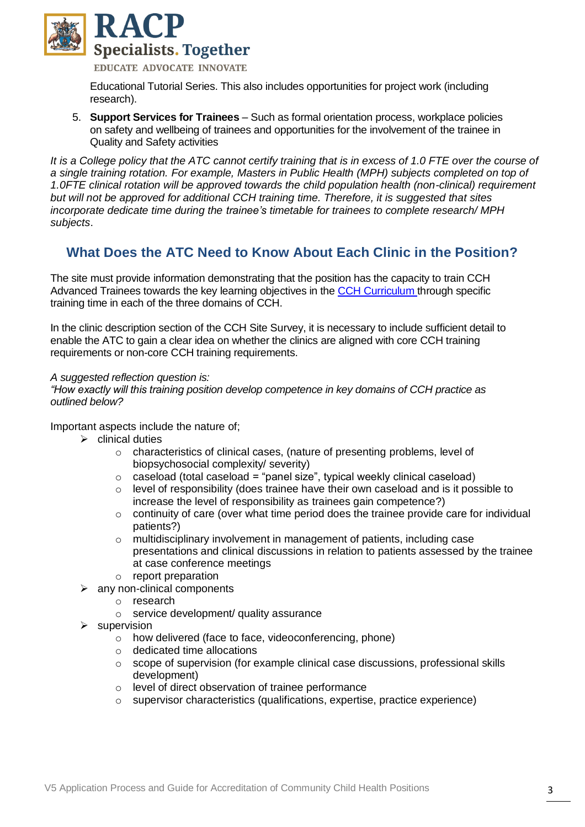

**EDUCATE ADVOCATE INNOVATE** 

Educational Tutorial Series. This also includes opportunities for project work (including research).

5. **Support Services for Trainees** – Such as formal orientation process, workplace policies on safety and wellbeing of trainees and opportunities for the involvement of the trainee in Quality and Safety activities

*It is a College policy that the ATC cannot certify training that is in excess of 1.0 FTE over the course of a single training rotation. For example, Masters in Public Health (MPH) subjects completed on top of 1.0FTE clinical rotation will be approved towards the child population health (non-clinical) requirement but will not be approved for additional CCH training time. Therefore, it is suggested that sites incorporate dedicate time during the trainee's timetable for trainees to complete research/ MPH subjects*.

## **What Does the ATC Need to Know About Each Clinic in the Position?**

The site must provide information demonstrating that the position has the capacity to train CCH Advanced Trainees towards the key learning objectives in the [CCH Curriculum](https://www.racp.edu.au/docs/default-source/default-document-library/at-communty-child-health-curricula.pdf?sfvrsn=2) through specific training time in each of the three domains of CCH.

In the clinic description section of the CCH Site Survey, it is necessary to include sufficient detail to enable the ATC to gain a clear idea on whether the clinics are aligned with core CCH training requirements or non-core CCH training requirements.

#### *A suggested reflection question is:*

*"How exactly will this training position develop competence in key domains of CCH practice as outlined below?*

Important aspects include the nature of;

- $\triangleright$  clinical duties
	- o characteristics of clinical cases, (nature of presenting problems, level of biopsychosocial complexity/ severity)
	- $\circ$  caseload (total caseload = "panel size", typical weekly clinical caseload)
	- o level of responsibility (does trainee have their own caseload and is it possible to increase the level of responsibility as trainees gain competence?)
	- o continuity of care (over what time period does the trainee provide care for individual patients?)
	- o multidisciplinary involvement in management of patients, including case presentations and clinical discussions in relation to patients assessed by the trainee at case conference meetings
	- o report preparation
- any non-clinical components
	- o research
	- o service development/ quality assurance
- supervision
	- o how delivered (face to face, videoconferencing, phone)
	- o dedicated time allocations
	- o scope of supervision (for example clinical case discussions, professional skills development)
	- o level of direct observation of trainee performance
	- o supervisor characteristics (qualifications, expertise, practice experience)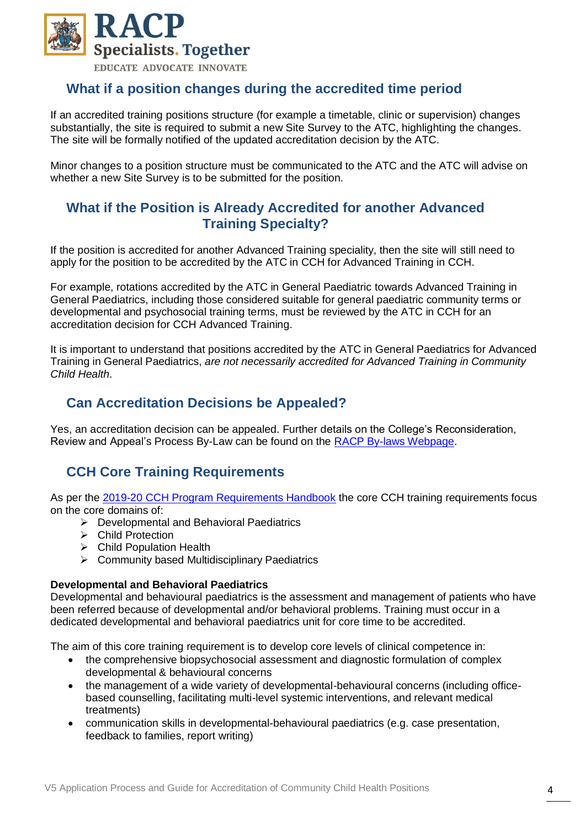

## **What if a position changes during the accredited time period**

If an accredited training positions structure (for example a timetable, clinic or supervision) changes substantially, the site is required to submit a new Site Survey to the ATC, highlighting the changes. The site will be formally notified of the updated accreditation decision by the ATC.

Minor changes to a position structure must be communicated to the ATC and the ATC will advise on whether a new Site Survey is to be submitted for the position.

## **What if the Position is Already Accredited for another Advanced Training Specialty?**

If the position is accredited for another Advanced Training speciality, then the site will still need to apply for the position to be accredited by the ATC in CCH for Advanced Training in CCH.

For example, rotations accredited by the ATC in General Paediatric towards Advanced Training in General Paediatrics, including those considered suitable for general paediatric community terms or developmental and psychosocial training terms, must be reviewed by the ATC in CCH for an accreditation decision for CCH Advanced Training.

It is important to understand that positions accredited by the ATC in General Paediatrics for Advanced Training in General Paediatrics, *are not necessarily accredited for Advanced Training in Community Child Health*.

## **Can Accreditation Decisions be Appealed?**

Yes, an accreditation decision can be appealed. Further details on the College's Reconsideration, Review and Appeal's Process By-Law can be found on the [RACP By-laws Webpage.](https://www.racp.edu.au/about/racp-board-and-governance/racp-by-laws)

# **CCH Core Training Requirements**

As per the [2019-20 CCH Program Requirements Handbook](https://www.racp.edu.au/docs/default-source/default-document-library/at-community-child-health-handbook-2019-20.pdf?sfvrsn=38a4091a_6) the core CCH training requirements focus on the core domains of:

- ➢ Developmental and Behavioral Paediatrics
- ➢ Child Protection
- ➢ Child Population Health
- ➢ Community based Multidisciplinary Paediatrics

#### **Developmental and Behavioral Paediatrics**

Developmental and behavioural paediatrics is the assessment and management of patients who have been referred because of developmental and/or behavioral problems. Training must occur in a dedicated developmental and behavioral paediatrics unit for core time to be accredited.

The aim of this core training requirement is to develop core levels of clinical competence in:

- the comprehensive biopsychosocial assessment and diagnostic formulation of complex developmental & behavioural concerns
- the management of a wide variety of developmental-behavioural concerns (including officebased counselling, facilitating multi-level systemic interventions, and relevant medical treatments)
- communication skills in developmental-behavioural paediatrics (e.g. case presentation, feedback to families, report writing)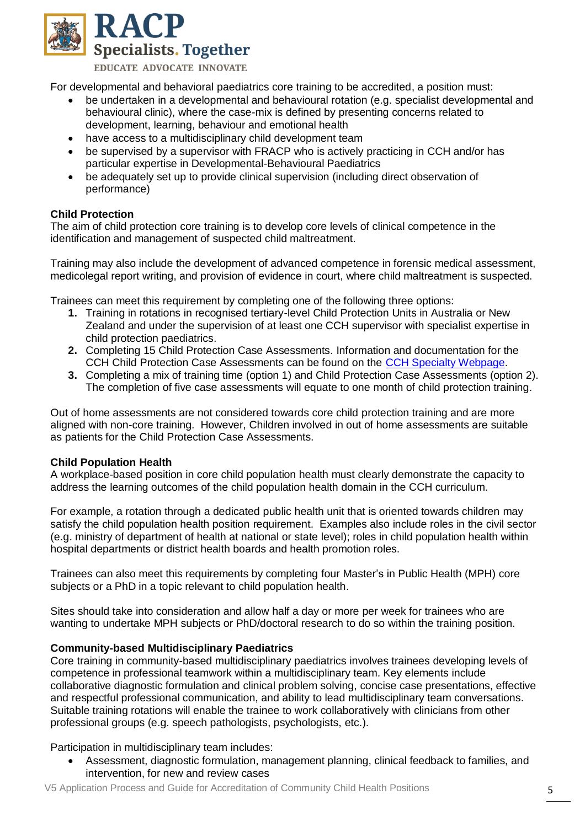

EDUCATE ADVOCATE INNOVATE

For developmental and behavioral paediatrics core training to be accredited, a position must:

- be undertaken in a developmental and behavioural rotation (e.g. specialist developmental and behavioural clinic), where the case-mix is defined by presenting concerns related to development, learning, behaviour and emotional health
- have access to a multidisciplinary child development team
- be supervised by a supervisor with FRACP who is actively practicing in CCH and/or has particular expertise in Developmental-Behavioural Paediatrics
- be adequately set up to provide clinical supervision (including direct observation of performance)

### **Child Protection**

The aim of child protection core training is to develop core levels of clinical competence in the identification and management of suspected child maltreatment.

Training may also include the development of advanced competence in forensic medical assessment, medicolegal report writing, and provision of evidence in court, where child maltreatment is suspected.

Trainees can meet this requirement by completing one of the following three options:

- **1.** Training in rotations in recognised tertiary-level Child Protection Units in Australia or New Zealand and under the supervision of at least one CCH supervisor with specialist expertise in child protection paediatrics.
- **2.** Completing 15 Child Protection Case Assessments. Information and documentation for the CCH Child Protection Case Assessments can be found on the [CCH Specialty Webpage.](https://www.racp.edu.au/trainees/advanced-training/advanced-training-programs/community-child-health)
- **3.** Completing a mix of training time (option 1) and Child Protection Case Assessments (option 2). The completion of five case assessments will equate to one month of child protection training.

Out of home assessments are not considered towards core child protection training and are more aligned with non-core training. However, Children involved in out of home assessments are suitable as patients for the Child Protection Case Assessments.

#### **Child Population Health**

A workplace-based position in core child population health must clearly demonstrate the capacity to address the learning outcomes of the child population health domain in the CCH curriculum.

For example, a rotation through a dedicated public health unit that is oriented towards children may satisfy the child population health position requirement. Examples also include roles in the civil sector (e.g. ministry of department of health at national or state level); roles in child population health within hospital departments or district health boards and health promotion roles.

Trainees can also meet this requirements by completing four Master's in Public Health (MPH) core subjects or a PhD in a topic relevant to child population health.

Sites should take into consideration and allow half a day or more per week for trainees who are wanting to undertake MPH subjects or PhD/doctoral research to do so within the training position.

#### **Community-based Multidisciplinary Paediatrics**

Core training in community-based multidisciplinary paediatrics involves trainees developing levels of competence in professional teamwork within a multidisciplinary team. Key elements include collaborative diagnostic formulation and clinical problem solving, concise case presentations, effective and respectful professional communication, and ability to lead multidisciplinary team conversations. Suitable training rotations will enable the trainee to work collaboratively with clinicians from other professional groups (e.g. speech pathologists, psychologists, etc.).

Participation in multidisciplinary team includes:

• Assessment, diagnostic formulation, management planning, clinical feedback to families, and intervention, for new and review cases